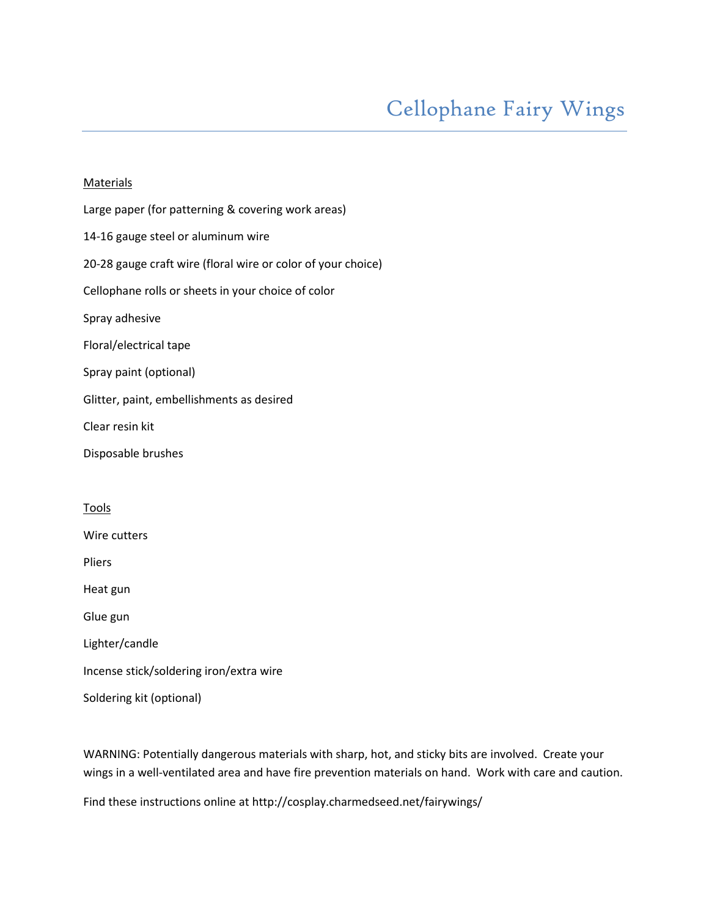## **Materials**

Large paper (for patterning & covering work areas) 14-16 gauge steel or aluminum wire 20-28 gauge craft wire (floral wire or color of your choice) Cellophane rolls or sheets in your choice of color Spray adhesive Floral/electrical tape Spray paint (optional) Glitter, paint, embellishments as desired Clear resin kit Disposable brushes **Tools** Wire cutters Pliers Heat gun Glue gun

Lighter/candle

Incense stick/soldering iron/extra wire

Soldering kit (optional)

WARNING: Potentially dangerous materials with sharp, hot, and sticky bits are involved. Create your wings in a well-ventilated area and have fire prevention materials on hand. Work with care and caution.

Find these instructions online at http://cosplay.charmedseed.net/fairywings/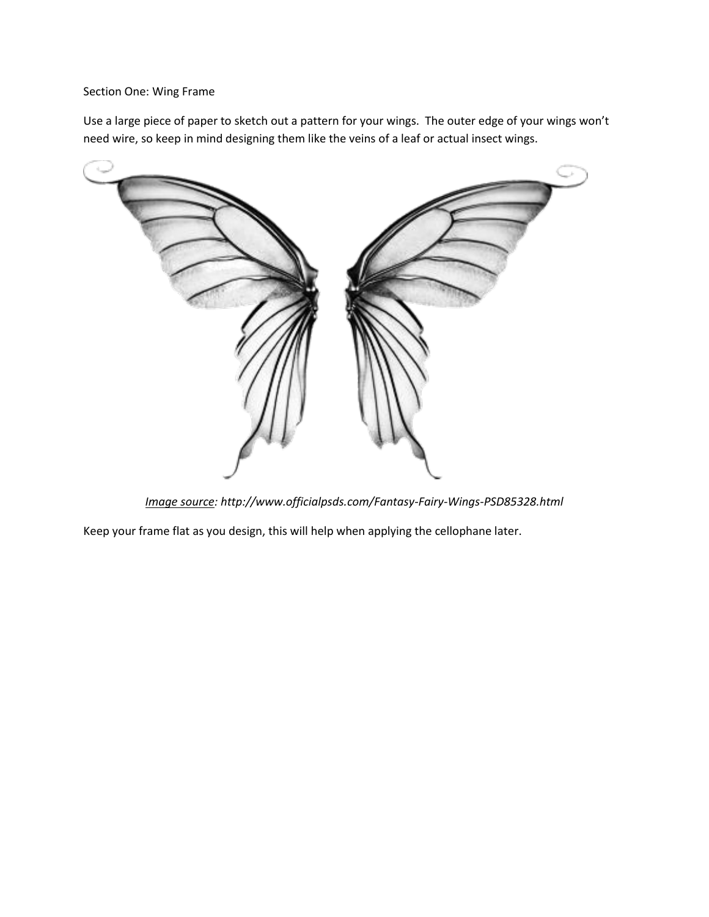## Section One: Wing Frame

Use a large piece of paper to sketch out a pattern for your wings. The outer edge of your wings won't need wire, so keep in mind designing them like the veins of a leaf or actual insect wings.



*Image source: http://www.officialpsds.com/Fantasy-Fairy-Wings-PSD85328.html*

Keep your frame flat as you design, this will help when applying the cellophane later.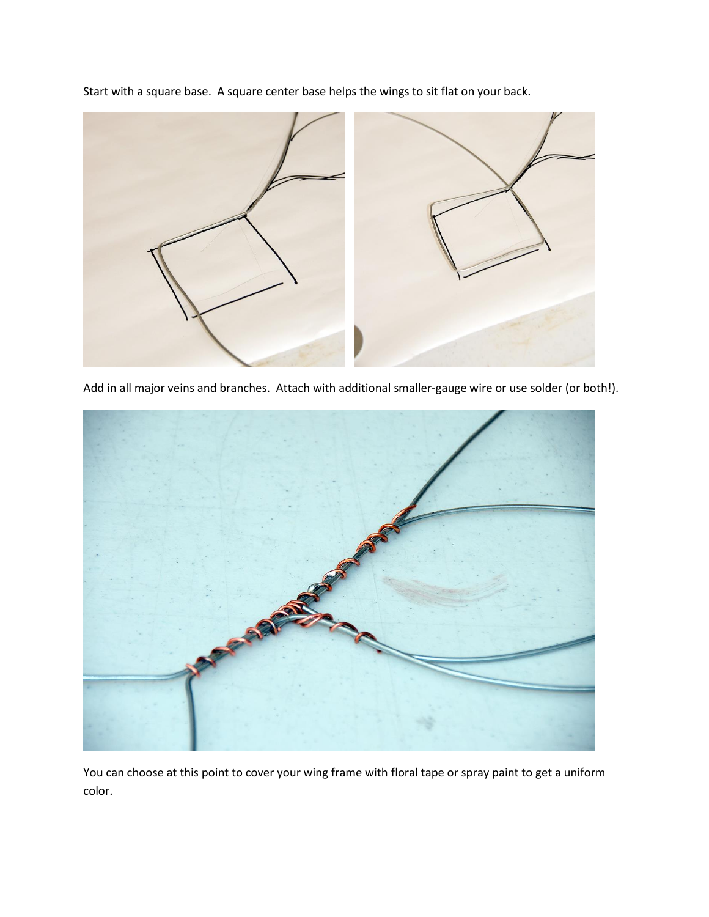Start with a square base. A square center base helps the wings to sit flat on your back.



Add in all major veins and branches. Attach with additional smaller-gauge wire or use solder (or both!).



You can choose at this point to cover your wing frame with floral tape or spray paint to get a uniform color.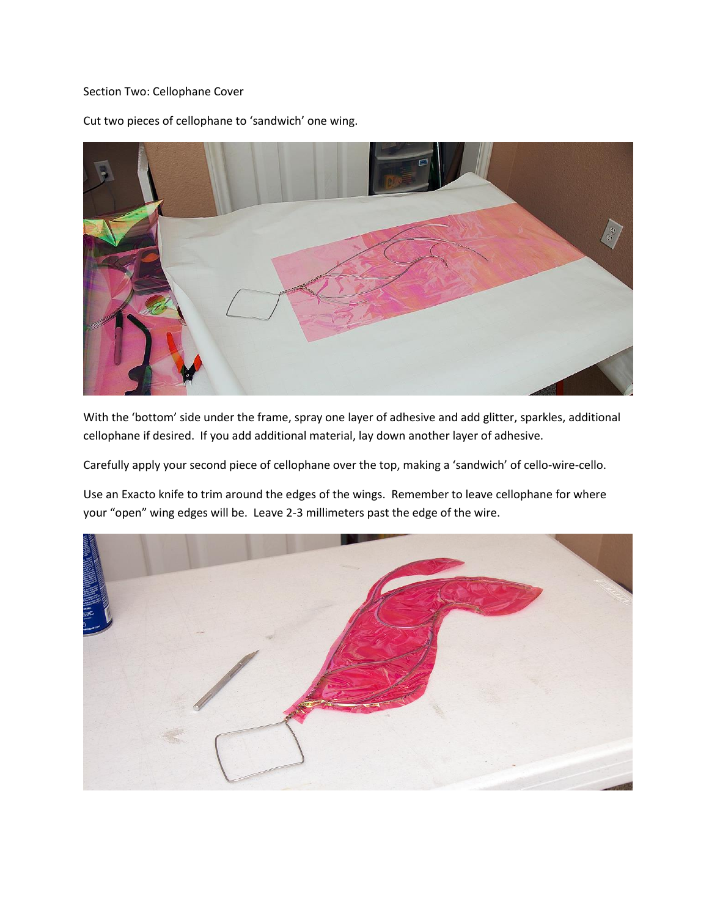## Section Two: Cellophane Cover

Cut two pieces of cellophane to 'sandwich' one wing.

With the 'bottom' side under the frame, spray one layer of adhesive and add glitter, sparkles, additional cellophane if desired. If you add additional material, lay down another layer of adhesive.

Carefully apply your second piece of cellophane over the top, making a 'sandwich' of cello-wire-cello.

Use an Exacto knife to trim around the edges of the wings. Remember to leave cellophane for where your "open" wing edges will be. Leave 2-3 millimeters past the edge of the wire.

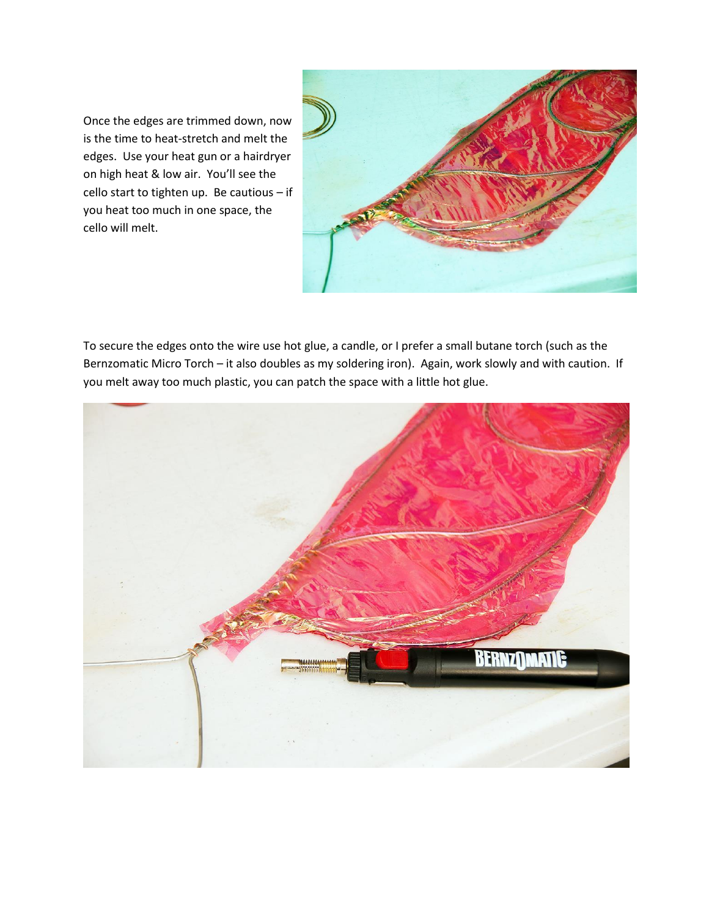Once the edges are trimmed down, now is the time to heat-stretch and melt the edges. Use your heat gun or a hairdryer on high heat & low air. You'll see the cello start to tighten up. Be cautious – if you heat too much in one space, the cello will melt.



To secure the edges onto the wire use hot glue, a candle, or I prefer a small butane torch (such as the Bernzomatic Micro Torch – it also doubles as my soldering iron). Again, work slowly and with caution. If you melt away too much plastic, you can patch the space with a little hot glue.

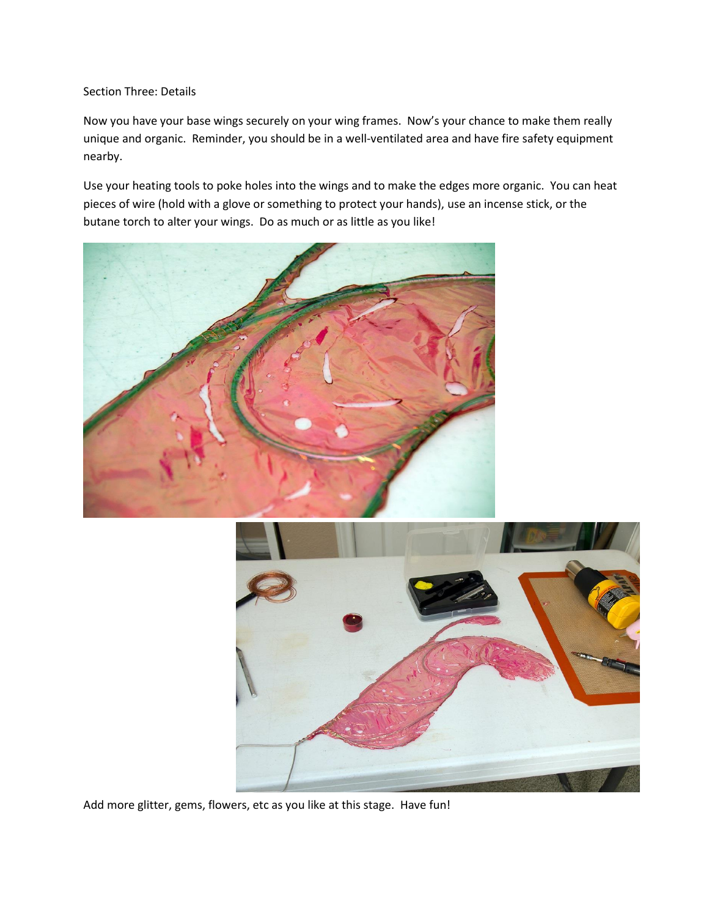Section Three: Details

Now you have your base wings securely on your wing frames. Now's your chance to make them really unique and organic. Reminder, you should be in a well-ventilated area and have fire safety equipment nearby.

Use your heating tools to poke holes into the wings and to make the edges more organic. You can heat pieces of wire (hold with a glove or something to protect your hands), use an incense stick, or the butane torch to alter your wings. Do as much or as little as you like!





Add more glitter, gems, flowers, etc as you like at this stage. Have fun!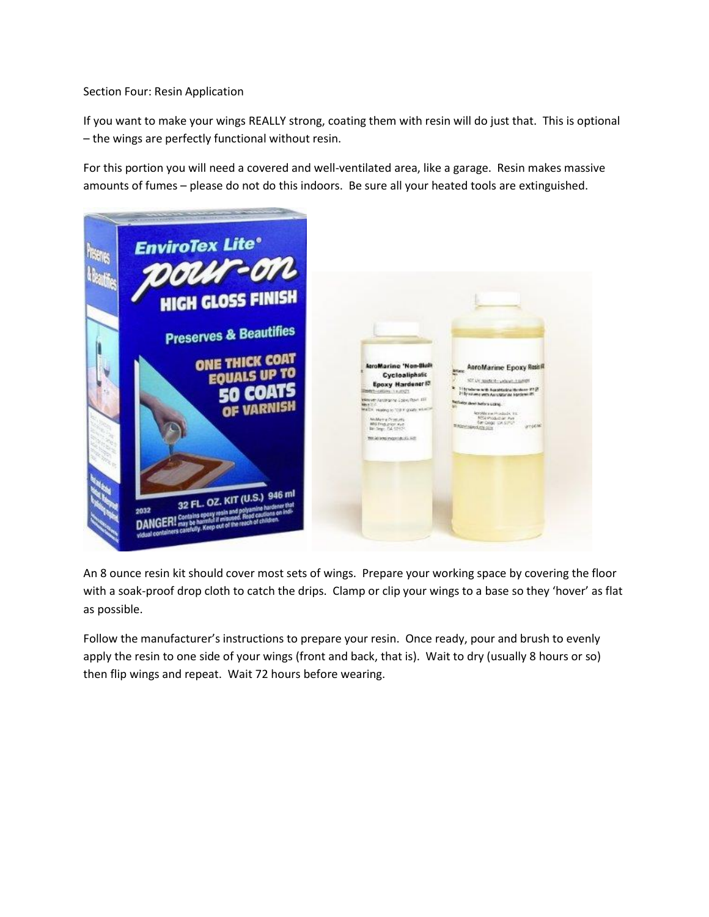Section Four: Resin Application

If you want to make your wings REALLY strong, coating them with resin will do just that. This is optional – the wings are perfectly functional without resin.

For this portion you will need a covered and well-ventilated area, like a garage. Resin makes massive amounts of fumes – please do not do this indoors. Be sure all your heated tools are extinguished.



An 8 ounce resin kit should cover most sets of wings. Prepare your working space by covering the floor with a soak-proof drop cloth to catch the drips. Clamp or clip your wings to a base so they 'hover' as flat as possible.

Follow the manufacturer's instructions to prepare your resin. Once ready, pour and brush to evenly apply the resin to one side of your wings (front and back, that is). Wait to dry (usually 8 hours or so) then flip wings and repeat. Wait 72 hours before wearing.